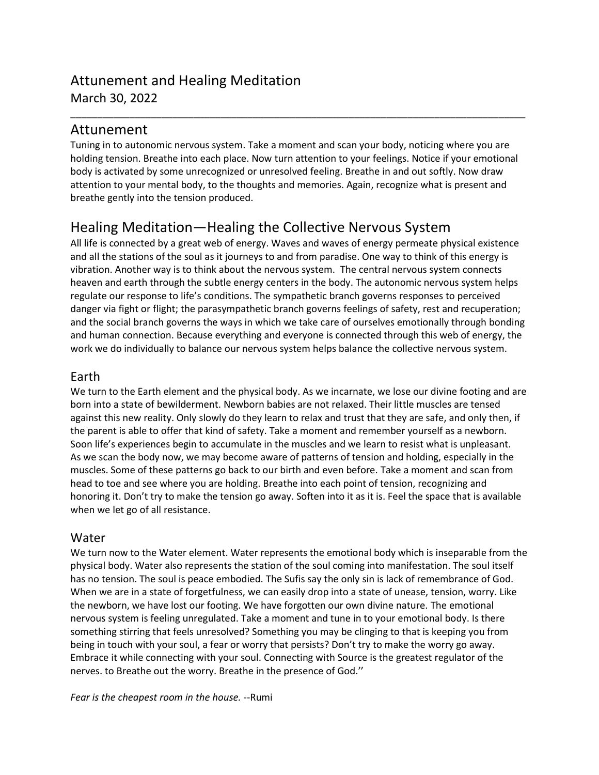## Attunement and Healing Meditation March 30, 2022

## Attunement

Tuning in to autonomic nervous system. Take a moment and scan your body, noticing where you are holding tension. Breathe into each place. Now turn attention to your feelings. Notice if your emotional body is activated by some unrecognized or unresolved feeling. Breathe in and out softly. Now draw attention to your mental body, to the thoughts and memories. Again, recognize what is present and breathe gently into the tension produced.

\_\_\_\_\_\_\_\_\_\_\_\_\_\_\_\_\_\_\_\_\_\_\_\_\_\_\_\_\_\_\_\_\_\_\_\_\_\_\_\_\_\_\_\_\_\_\_\_\_\_\_\_\_\_\_\_\_\_\_\_\_\_\_\_\_\_\_\_\_\_\_\_\_\_\_\_\_\_\_\_\_\_\_\_\_

# Healing Meditation—Healing the Collective Nervous System

All life is connected by a great web of energy. Waves and waves of energy permeate physical existence and all the stations of the soul as it journeys to and from paradise. One way to think of this energy is vibration. Another way is to think about the nervous system. The central nervous system connects heaven and earth through the subtle energy centers in the body. The autonomic nervous system helps regulate our response to life's conditions. The sympathetic branch governs responses to perceived danger via fight or flight; the parasympathetic branch governs feelings of safety, rest and recuperation; and the social branch governs the ways in which we take care of ourselves emotionally through bonding and human connection. Because everything and everyone is connected through this web of energy, the work we do individually to balance our nervous system helps balance the collective nervous system.

## Earth

We turn to the Earth element and the physical body. As we incarnate, we lose our divine footing and are born into a state of bewilderment. Newborn babies are not relaxed. Their little muscles are tensed against this new reality. Only slowly do they learn to relax and trust that they are safe, and only then, if the parent is able to offer that kind of safety. Take a moment and remember yourself as a newborn. Soon life's experiences begin to accumulate in the muscles and we learn to resist what is unpleasant. As we scan the body now, we may become aware of patterns of tension and holding, especially in the muscles. Some of these patterns go back to our birth and even before. Take a moment and scan from head to toe and see where you are holding. Breathe into each point of tension, recognizing and honoring it. Don't try to make the tension go away. Soften into it as it is. Feel the space that is available when we let go of all resistance.

## Water

We turn now to the Water element. Water represents the emotional body which is inseparable from the physical body. Water also represents the station of the soul coming into manifestation. The soul itself has no tension. The soul is peace embodied. The Sufis say the only sin is lack of remembrance of God. When we are in a state of forgetfulness, we can easily drop into a state of unease, tension, worry. Like the newborn, we have lost our footing. We have forgotten our own divine nature. The emotional nervous system is feeling unregulated. Take a moment and tune in to your emotional body. Is there something stirring that feels unresolved? Something you may be clinging to that is keeping you from being in touch with your soul, a fear or worry that persists? Don't try to make the worry go away. Embrace it while connecting with your soul. Connecting with Source is the greatest regulator of the nerves. to Breathe out the worry. Breathe in the presence of God.''

*Fear is the cheapest room in the house.* --Rumi